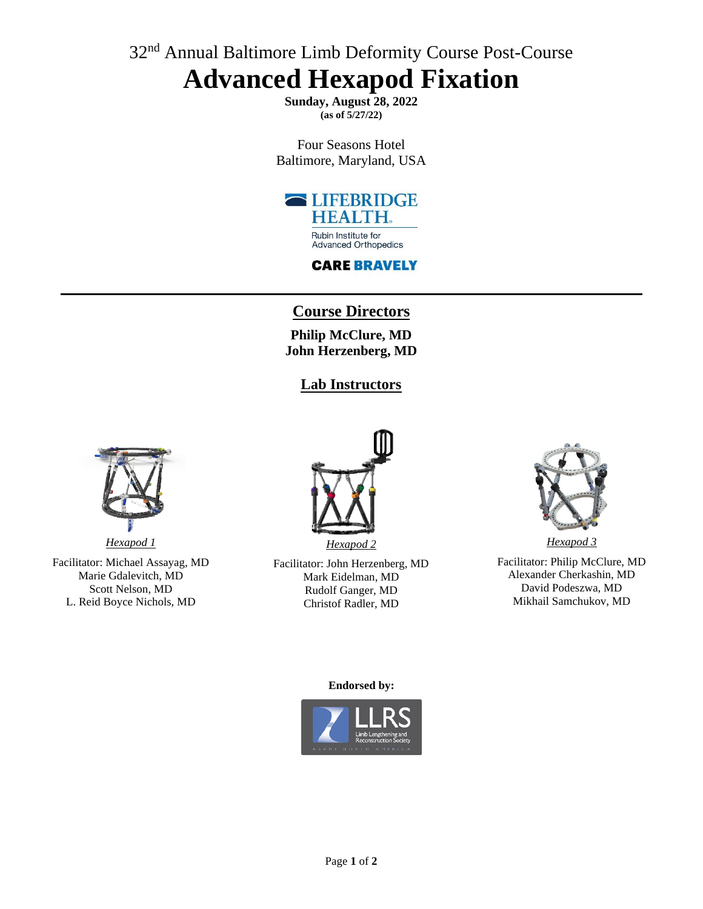# 32<sup>nd</sup> Annual Baltimore Limb Deformity Course Post-Course **Advanced Hexapod Fixation**

**Sunday, August 28, 2022 (as of 5/27/22)**

Four Seasons Hotel Baltimore, Maryland, USA



## **CARE BRAVELY**

# **Course Directors**

**Philip McClure, MD John Herzenberg, MD**

## **Lab Instructors**



*Hexapod 1* Facilitator: Michael Assayag, MD Marie Gdalevitch, MD Scott Nelson, MD L. Reid Boyce Nichols, MD



Facilitator: John Herzenberg, MD Mark Eidelman, MD Rudolf Ganger, MD Christof Radler, MD



Facilitator: Philip McClure, MD Alexander Cherkashin, MD David Podeszwa, MD Mikhail Samchukov, MD

#### **Endorsed by:**